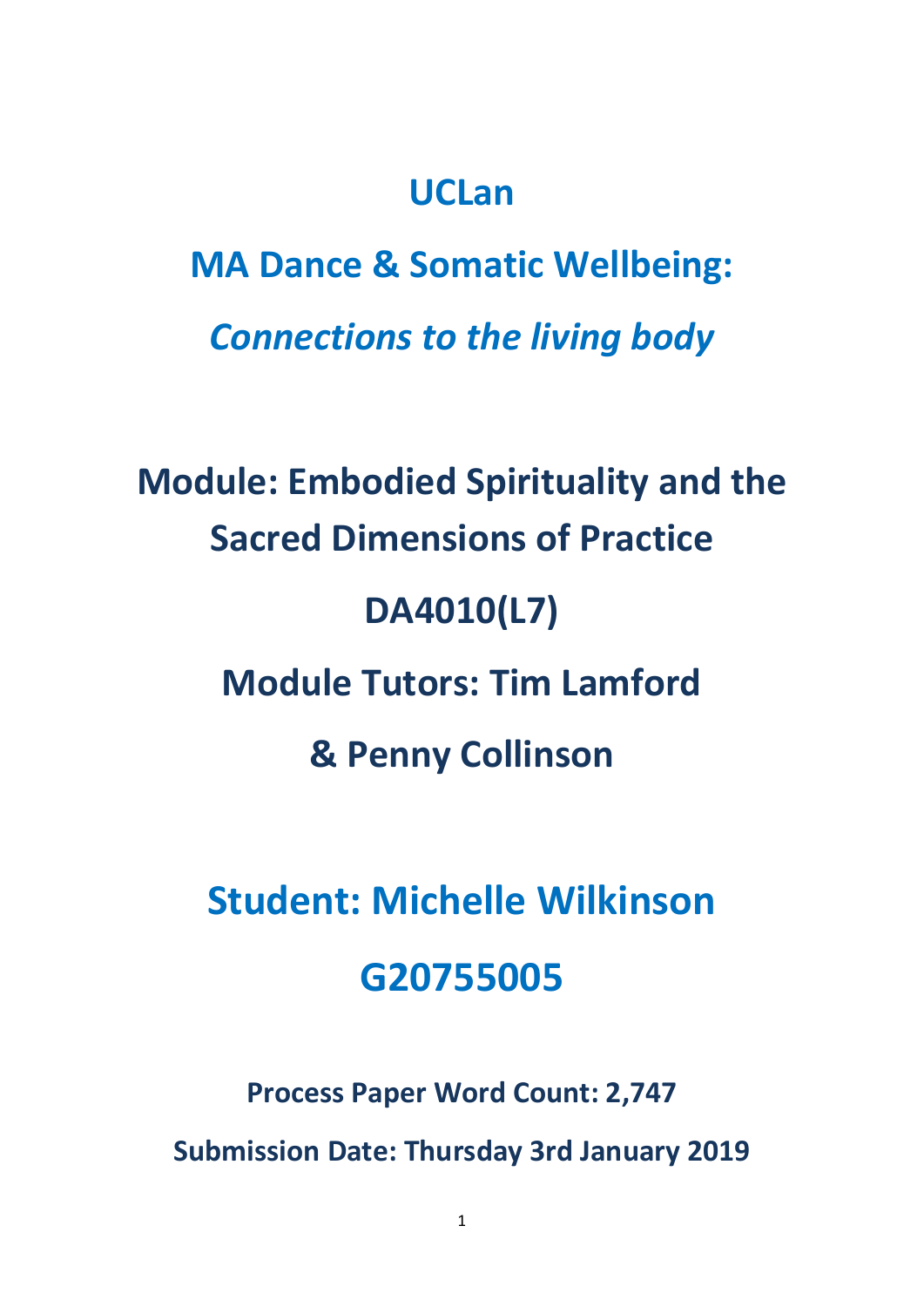## **UCLan**

**MA Dance & Somatic Wellbeing:** *Connections to the living body*

**Module: Embodied Spirituality and the Sacred Dimensions of Practice DA4010(L7) Module Tutors: Tim Lamford & Penny Collinson** 

# **Student: Michelle Wilkinson G20755005**

**Process Paper Word Count: 2,747**

**Submission Date: Thursday 3rd January 2019**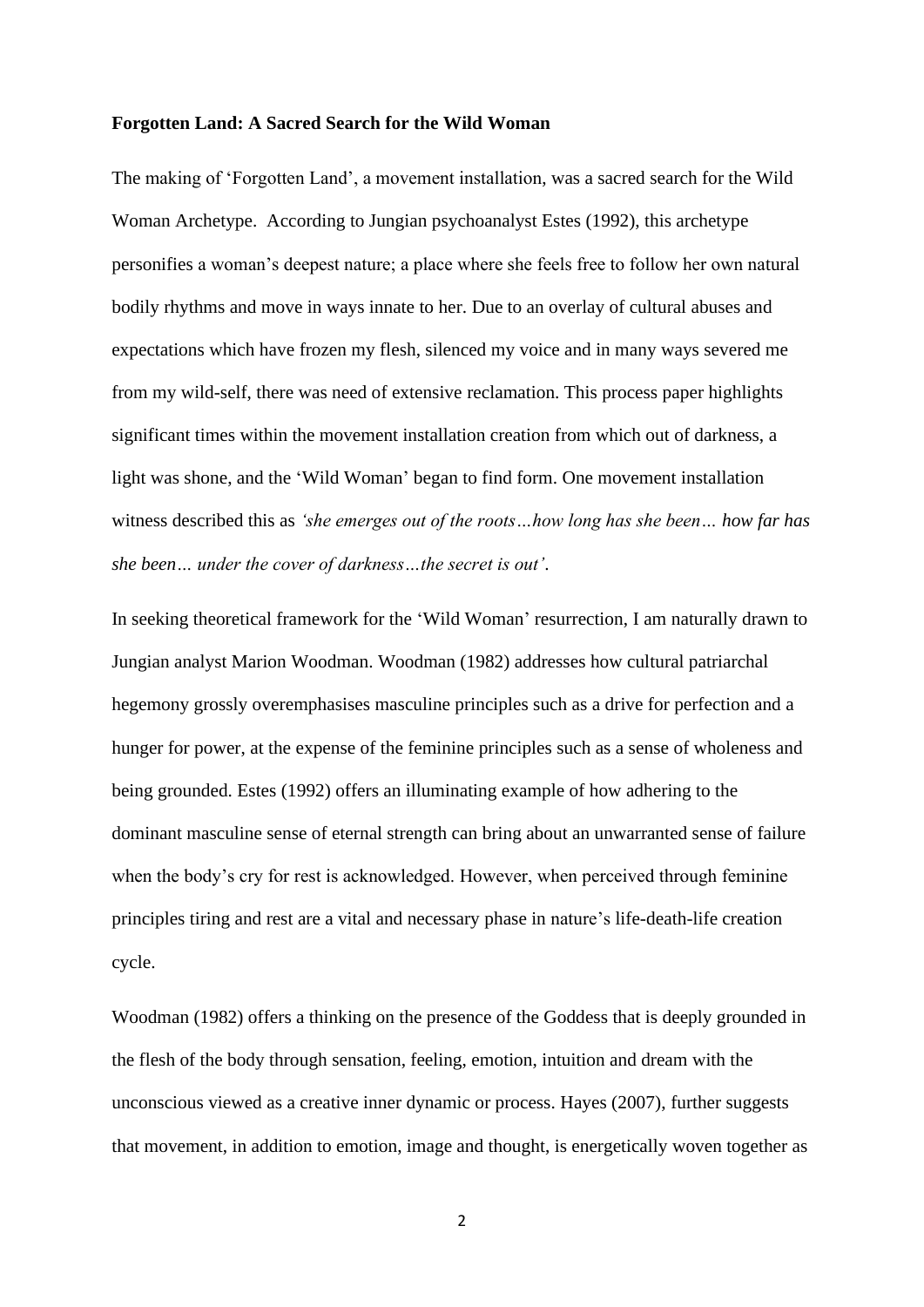#### **Forgotten Land: A Sacred Search for the Wild Woman**

The making of 'Forgotten Land', a movement installation, was a sacred search for the Wild Woman Archetype. According to Jungian psychoanalyst Estes (1992), this archetype personifies a woman's deepest nature; a place where she feels free to follow her own natural bodily rhythms and move in ways innate to her. Due to an overlay of cultural abuses and expectations which have frozen my flesh, silenced my voice and in many ways severed me from my wild-self, there was need of extensive reclamation. This process paper highlights significant times within the movement installation creation from which out of darkness, a light was shone, and the 'Wild Woman' began to find form. One movement installation witness described this as *'she emerges out of the roots…how long has she been… how far has she been… under the cover of darkness…the secret is out'*.

In seeking theoretical framework for the 'Wild Woman' resurrection, I am naturally drawn to Jungian analyst Marion Woodman. Woodman (1982) addresses how cultural patriarchal hegemony grossly overemphasises masculine principles such as a drive for perfection and a hunger for power, at the expense of the feminine principles such as a sense of wholeness and being grounded. Estes (1992) offers an illuminating example of how adhering to the dominant masculine sense of eternal strength can bring about an unwarranted sense of failure when the body's cry for rest is acknowledged. However, when perceived through feminine principles tiring and rest are a vital and necessary phase in nature's life-death-life creation cycle.

Woodman (1982) offers a thinking on the presence of the Goddess that is deeply grounded in the flesh of the body through sensation, feeling, emotion, intuition and dream with the unconscious viewed as a creative inner dynamic or process. Hayes (2007), further suggests that movement, in addition to emotion, image and thought, is energetically woven together as

2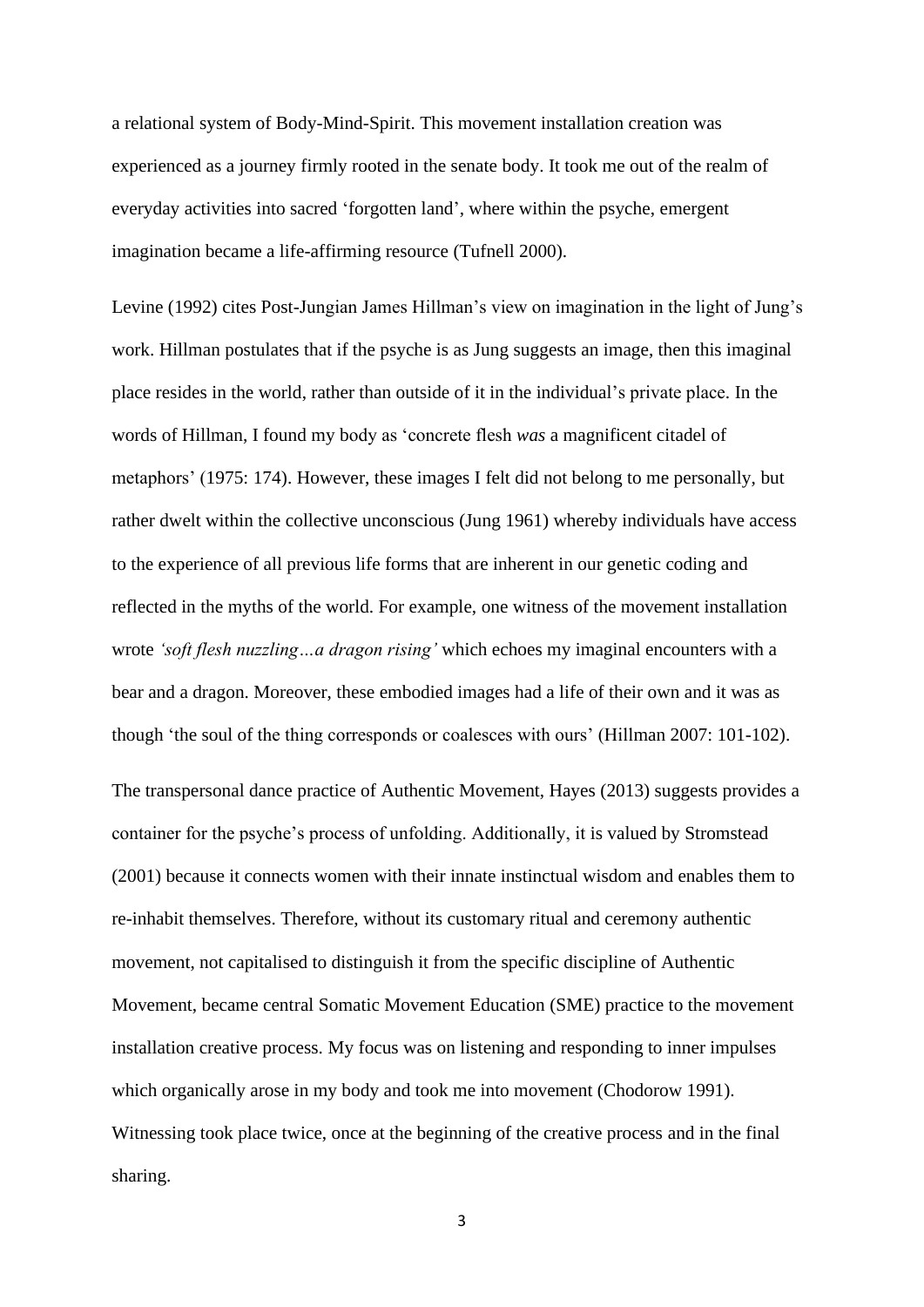a relational system of Body-Mind-Spirit. This movement installation creation was experienced as a journey firmly rooted in the senate body. It took me out of the realm of everyday activities into sacred 'forgotten land', where within the psyche, emergent imagination became a life-affirming resource (Tufnell 2000).

Levine (1992) cites Post-Jungian James Hillman's view on imagination in the light of Jung's work. Hillman postulates that if the psyche is as Jung suggests an image, then this imaginal place resides in the world, rather than outside of it in the individual's private place. In the words of Hillman, I found my body as 'concrete flesh *was* a magnificent citadel of metaphors' (1975: 174). However, these images I felt did not belong to me personally, but rather dwelt within the collective unconscious (Jung 1961) whereby individuals have access to the experience of all previous life forms that are inherent in our genetic coding and reflected in the myths of the world. For example, one witness of the movement installation wrote *'soft flesh nuzzling…a dragon rising'* which echoes my imaginal encounters with a bear and a dragon. Moreover, these embodied images had a life of their own and it was as though 'the soul of the thing corresponds or coalesces with ours' (Hillman 2007: 101-102).

The transpersonal dance practice of Authentic Movement, Hayes (2013) suggests provides a container for the psyche's process of unfolding. Additionally, it is valued by Stromstead (2001) because it connects women with their innate instinctual wisdom and enables them to re-inhabit themselves. Therefore, without its customary ritual and ceremony authentic movement, not capitalised to distinguish it from the specific discipline of Authentic Movement, became central Somatic Movement Education (SME) practice to the movement installation creative process. My focus was on listening and responding to inner impulses which organically arose in my body and took me into movement (Chodorow 1991). Witnessing took place twice, once at the beginning of the creative process and in the final sharing.

3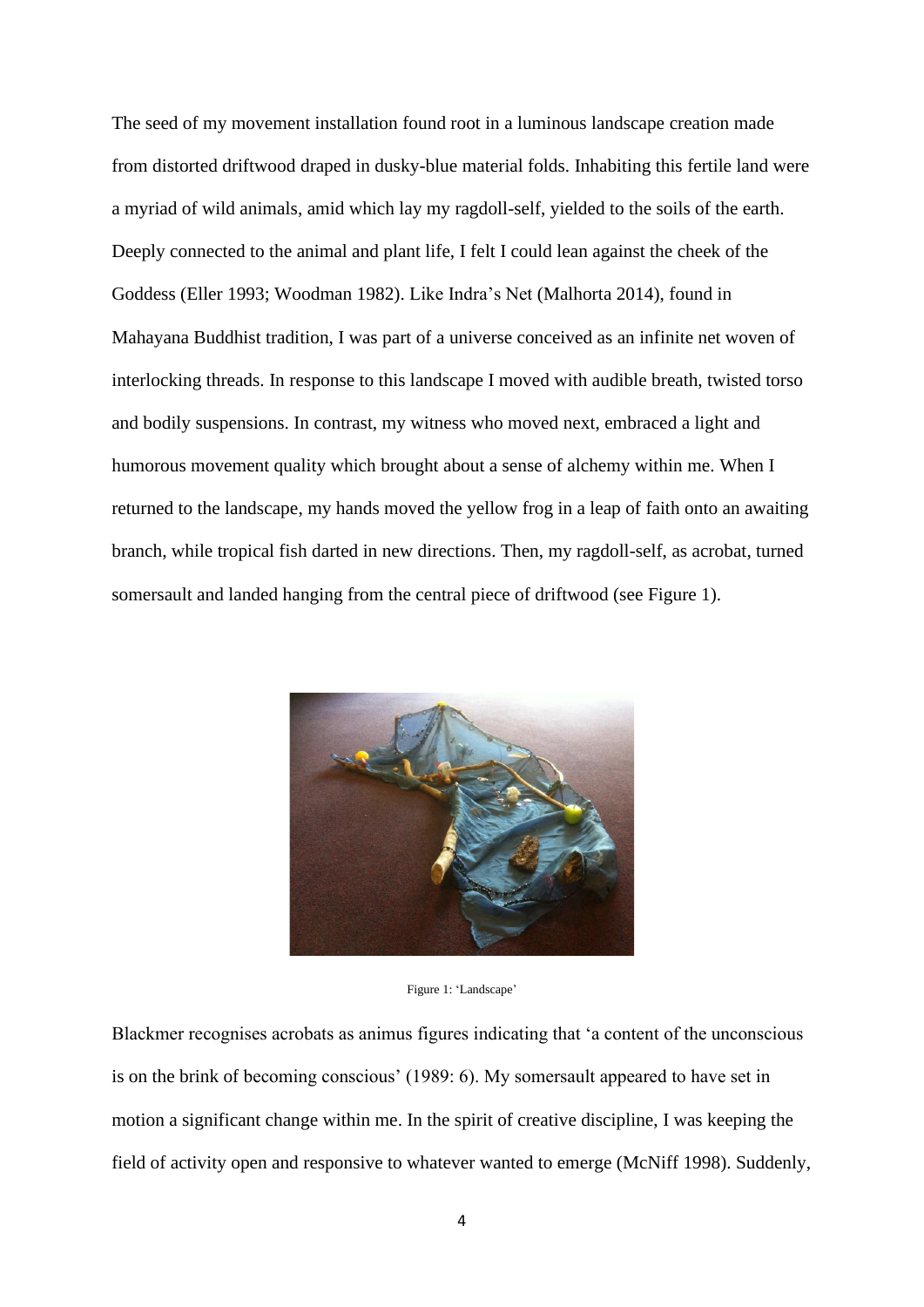The seed of my movement installation found root in a luminous landscape creation made from distorted driftwood draped in dusky-blue material folds. Inhabiting this fertile land were a myriad of wild animals, amid which lay my ragdoll-self, yielded to the soils of the earth. Deeply connected to the animal and plant life, I felt I could lean against the cheek of the Goddess (Eller 1993; Woodman 1982). Like Indra's Net (Malhorta 2014), found in Mahayana Buddhist tradition, I was part of a universe conceived as an infinite net woven of interlocking threads. In response to this landscape I moved with audible breath, twisted torso and bodily suspensions. In contrast, my witness who moved next, embraced a light and humorous movement quality which brought about a sense of alchemy within me. When I returned to the landscape, my hands moved the yellow frog in a leap of faith onto an awaiting branch, while tropical fish darted in new directions. Then, my ragdoll-self, as acrobat, turned somersault and landed hanging from the central piece of driftwood (see Figure 1).



Figure 1: 'Landscape'

Blackmer recognises acrobats as animus figures indicating that 'a content of the unconscious is on the brink of becoming conscious' (1989: 6). My somersault appeared to have set in motion a significant change within me. In the spirit of creative discipline, I was keeping the field of activity open and responsive to whatever wanted to emerge (McNiff 1998). Suddenly,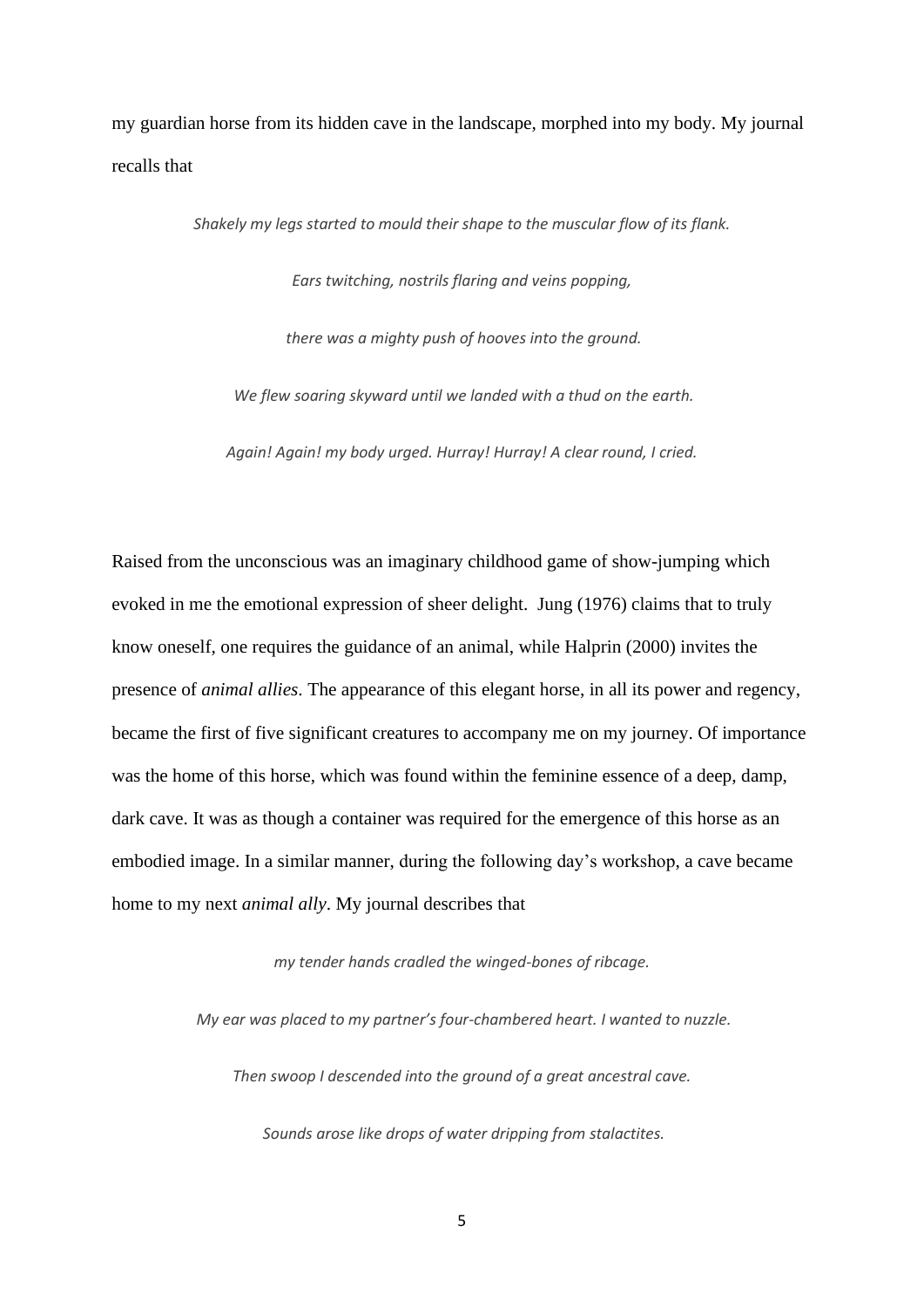my guardian horse from its hidden cave in the landscape, morphed into my body. My journal recalls that

> *Shakely my legs started to mould their shape to the muscular flow of its flank. Ears twitching, nostrils flaring and veins popping, there was a mighty push of hooves into the ground. We flew soaring skyward until we landed with a thud on the earth. Again! Again! my body urged. Hurray! Hurray! A clear round, I cried.*

Raised from the unconscious was an imaginary childhood game of show-jumping which evoked in me the emotional expression of sheer delight. Jung (1976) claims that to truly know oneself, one requires the guidance of an animal, while Halprin (2000) invites the presence of *animal allies.* The appearance of this elegant horse, in all its power and regency, became the first of five significant creatures to accompany me on my journey. Of importance was the home of this horse, which was found within the feminine essence of a deep, damp, dark cave. It was as though a container was required for the emergence of this horse as an embodied image. In a similar manner, during the following day's workshop, a cave became home to my next *animal ally*. My journal describes that

*my tender hands cradled the winged-bones of ribcage.*

*My ear was placed to my partner's four-chambered heart. I wanted to nuzzle.* 

*Then swoop I descended into the ground of a great ancestral cave.*

*Sounds arose like drops of water dripping from stalactites.*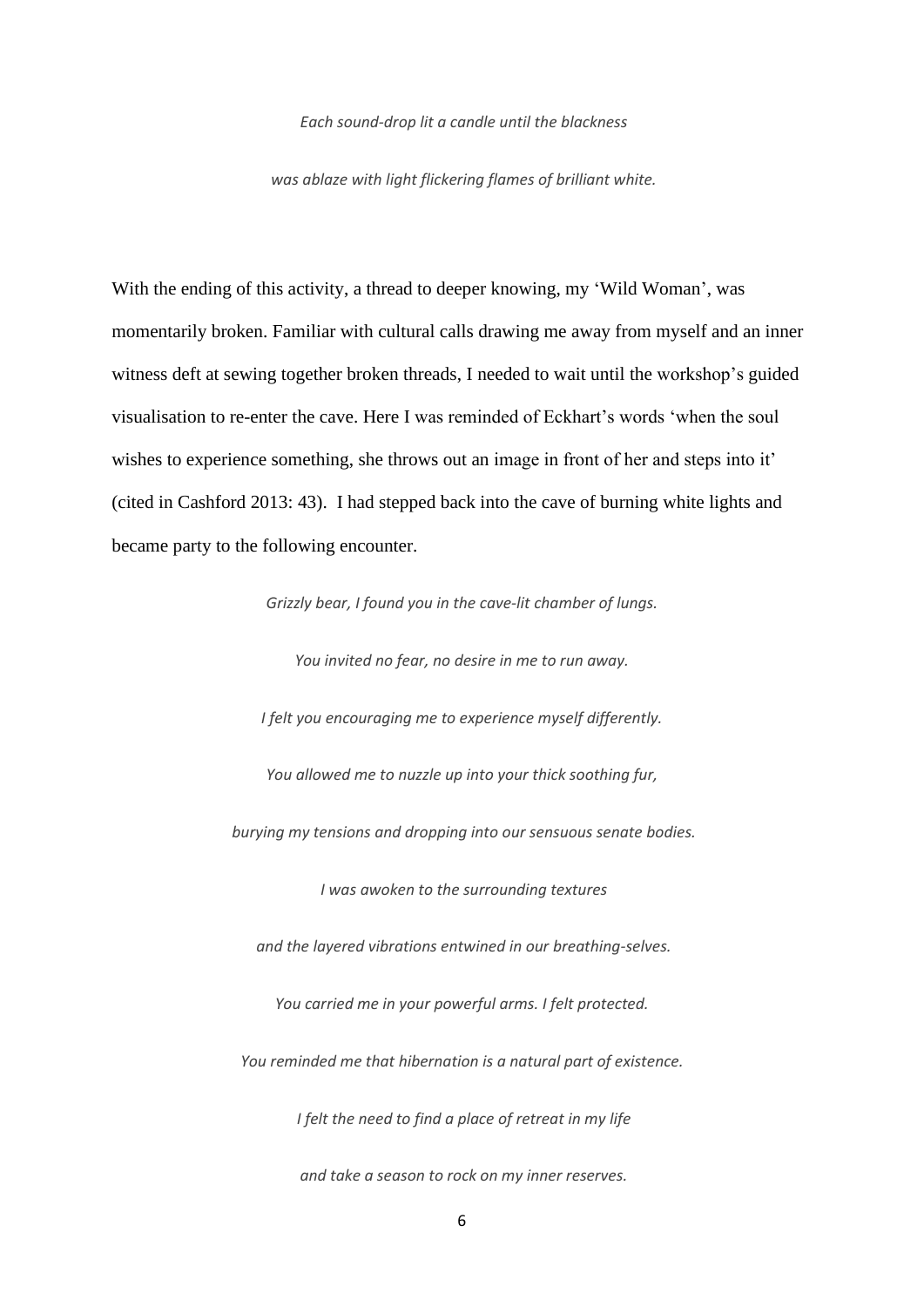*Each sound-drop lit a candle until the blackness*

*was ablaze with light flickering flames of brilliant white.*

With the ending of this activity, a thread to deeper knowing, my 'Wild Woman', was momentarily broken. Familiar with cultural calls drawing me away from myself and an inner witness deft at sewing together broken threads, I needed to wait until the workshop's guided visualisation to re-enter the cave. Here I was reminded of Eckhart's words 'when the soul wishes to experience something, she throws out an image in front of her and steps into it' (cited in Cashford 2013: 43). I had stepped back into the cave of burning white lights and became party to the following encounter.

*Grizzly bear, I found you in the cave-lit chamber of lungs.* 

*You invited no fear, no desire in me to run away. I felt you encouraging me to experience myself differently. You allowed me to nuzzle up into your thick soothing fur, burying my tensions and dropping into our sensuous senate bodies. I was awoken to the surrounding textures and the layered vibrations entwined in our breathing-selves. You carried me in your powerful arms. I felt protected. You reminded me that hibernation is a natural part of existence. I felt the need to find a place of retreat in my life and take a season to rock on my inner reserves.*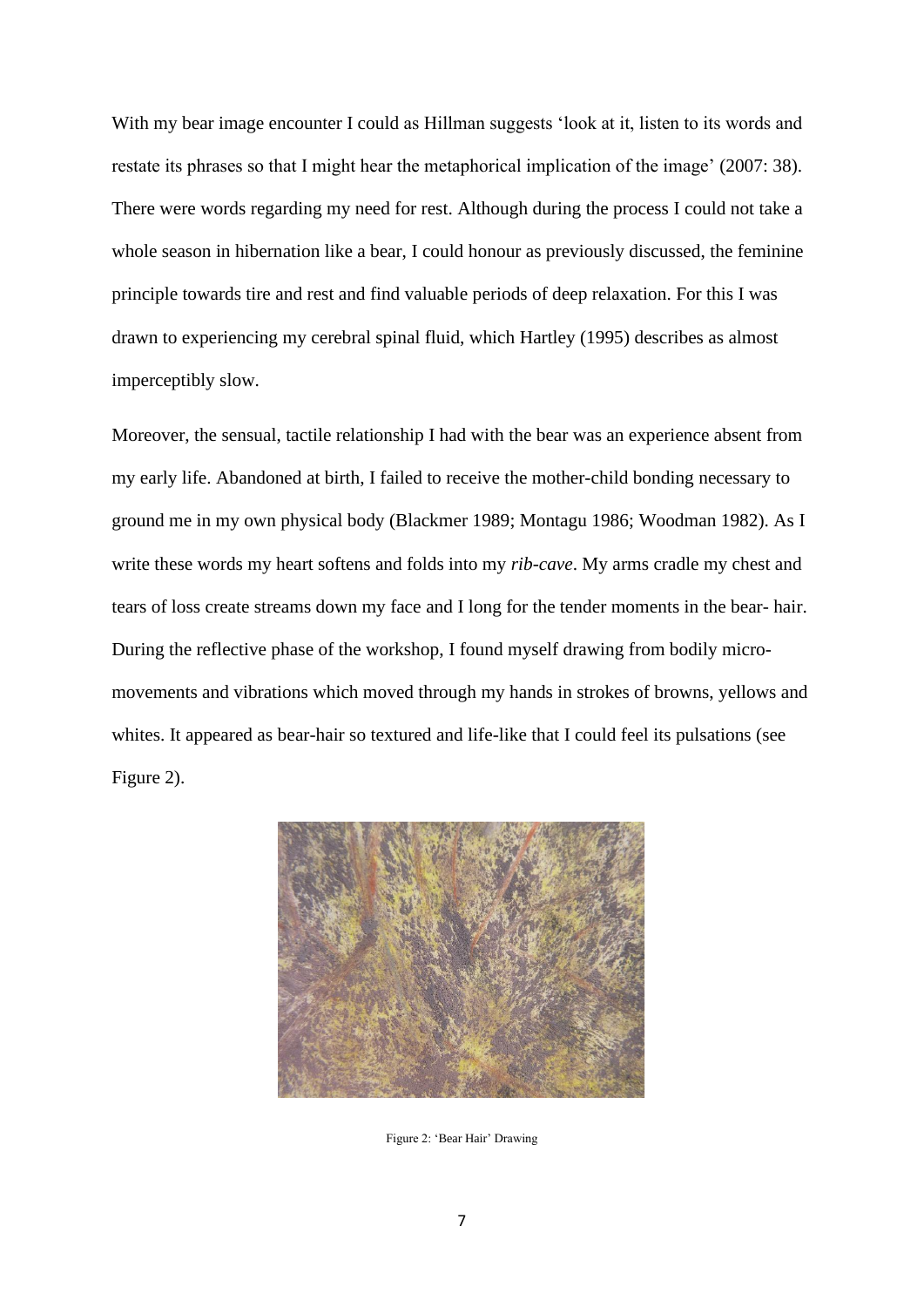With my bear image encounter I could as Hillman suggests 'look at it, listen to its words and restate its phrases so that I might hear the metaphorical implication of the image' (2007: 38). There were words regarding my need for rest. Although during the process I could not take a whole season in hibernation like a bear, I could honour as previously discussed, the feminine principle towards tire and rest and find valuable periods of deep relaxation. For this I was drawn to experiencing my cerebral spinal fluid, which Hartley (1995) describes as almost imperceptibly slow.

Moreover, the sensual, tactile relationship I had with the bear was an experience absent from my early life. Abandoned at birth, I failed to receive the mother-child bonding necessary to ground me in my own physical body (Blackmer 1989; Montagu 1986; Woodman 1982). As I write these words my heart softens and folds into my *rib-cave*. My arms cradle my chest and tears of loss create streams down my face and I long for the tender moments in the bear- hair. During the reflective phase of the workshop, I found myself drawing from bodily micromovements and vibrations which moved through my hands in strokes of browns, yellows and whites. It appeared as bear-hair so textured and life-like that I could feel its pulsations (see Figure 2).



Figure 2: 'Bear Hair' Drawing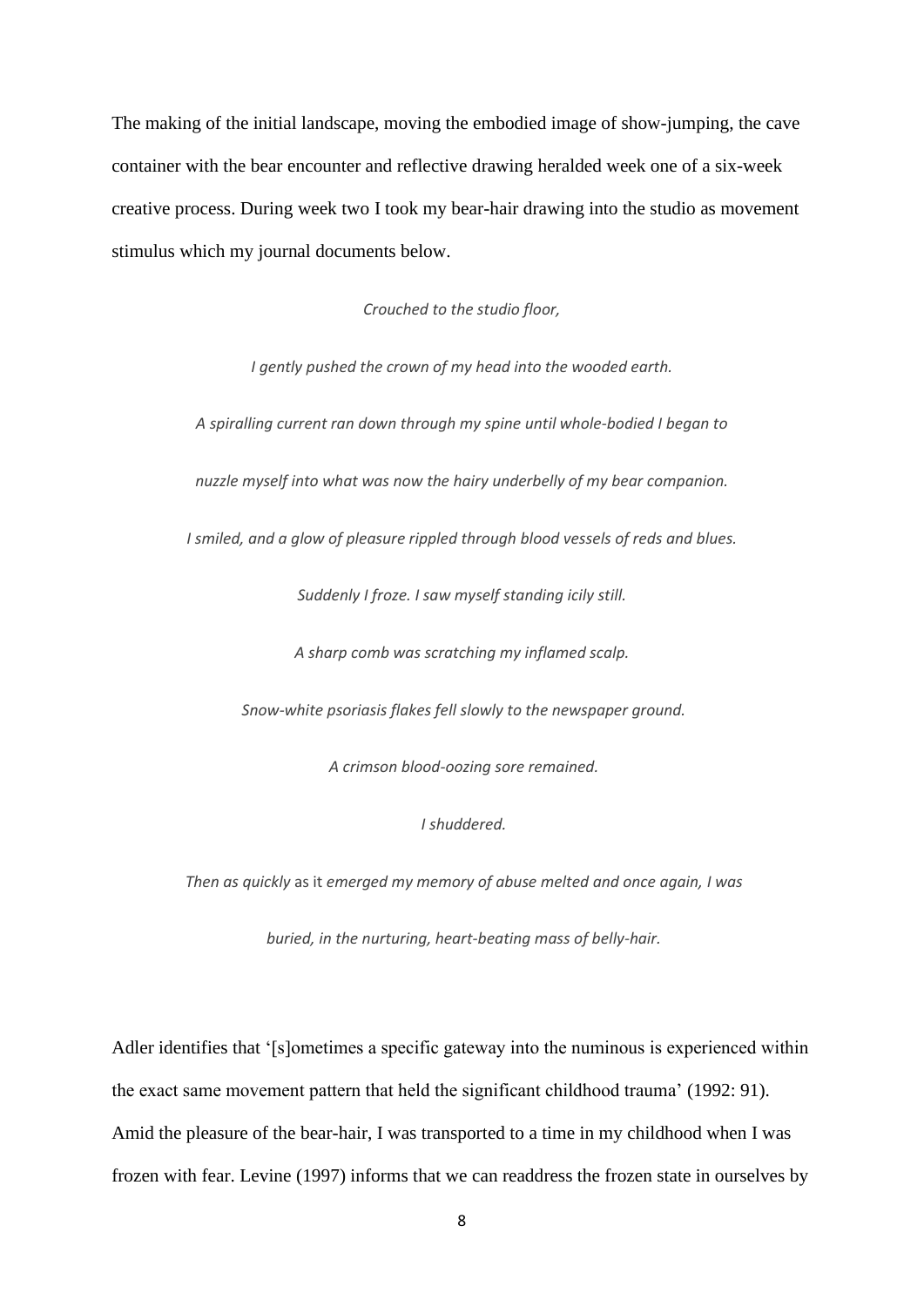The making of the initial landscape, moving the embodied image of show-jumping, the cave container with the bear encounter and reflective drawing heralded week one of a six-week creative process. During week two I took my bear-hair drawing into the studio as movement stimulus which my journal documents below.

*Crouched to the studio floor,* 

*I gently pushed the crown of my head into the wooded earth.* 

*A spiralling current ran down through my spine until whole-bodied I began to* 

*nuzzle myself into what was now the hairy underbelly of my bear companion.* 

*I smiled, and a glow of pleasure rippled through blood vessels of reds and blues.*

*Suddenly I froze. I saw myself standing icily still.* 

*A sharp comb was scratching my inflamed scalp.*

*Snow-white psoriasis flakes fell slowly to the newspaper ground.*

*A crimson blood-oozing sore remained.*

### *I shuddered.*

*Then as quickly* as it *emerged my memory of abuse melted and once again, I was*

*buried, in the nurturing, heart-beating mass of belly-hair.*

Adler identifies that '[s]ometimes a specific gateway into the numinous is experienced within the exact same movement pattern that held the significant childhood trauma' (1992: 91). Amid the pleasure of the bear-hair, I was transported to a time in my childhood when I was frozen with fear. Levine (1997) informs that we can readdress the frozen state in ourselves by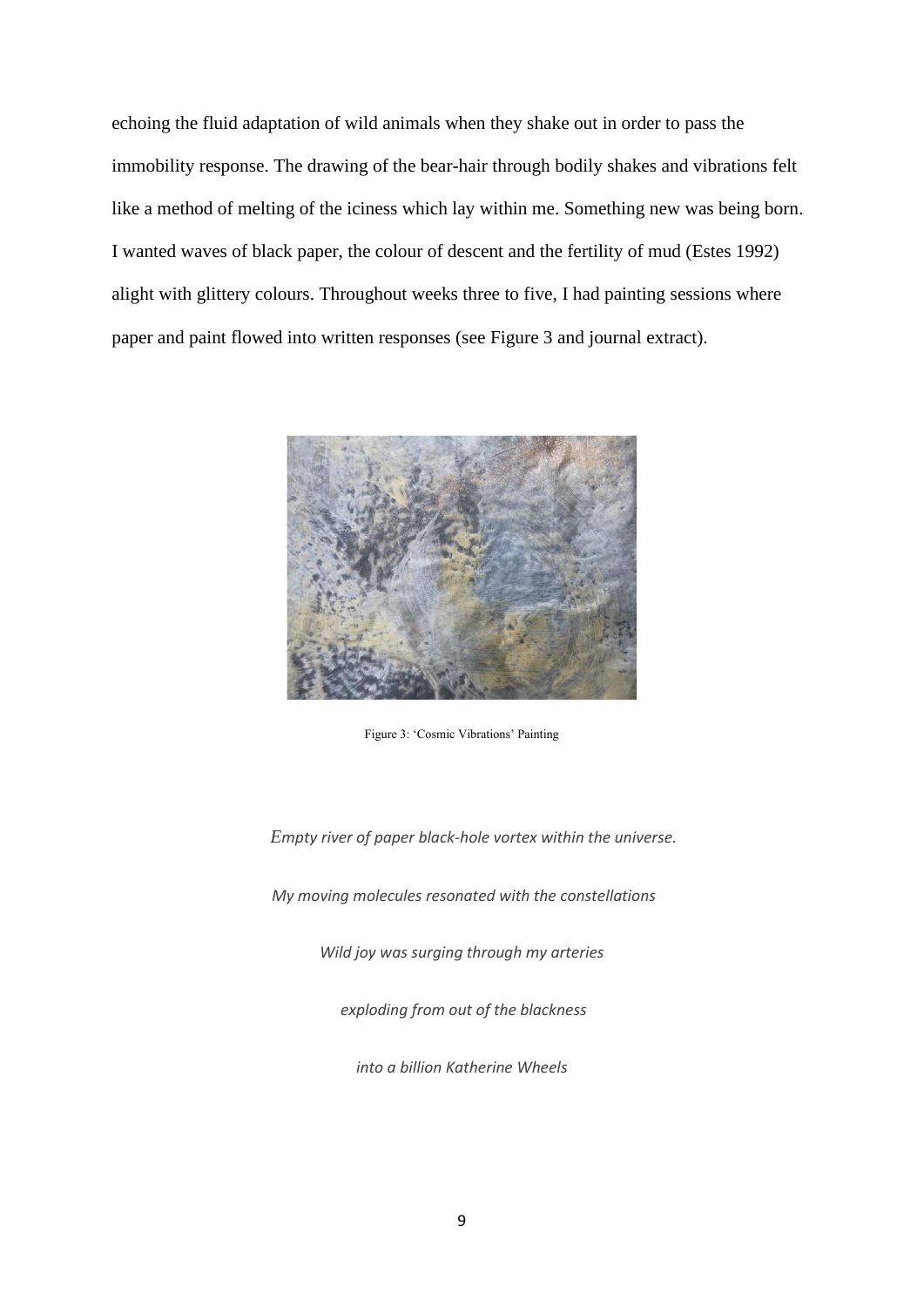echoing the fluid adaptation of wild animals when they shake out in order to pass the immobility response. The drawing of the bear-hair through bodily shakes and vibrations felt like a method of melting of the iciness which lay within me. Something new was being born. I wanted waves of black paper, the colour of descent and the fertility of mud (Estes 1992) alight with glittery colours. Throughout weeks three to five, I had painting sessions where paper and paint flowed into written responses (see Figure 3 and journal extract).



Figure 3: 'Cosmic Vibrations' Painting

 *Empty river of paper black-hole vortex within the universe.*

*My moving molecules resonated with the constellations*

*Wild joy was surging through my arteries*

*exploding from out of the blackness* 

*into a billion Katherine Wheels*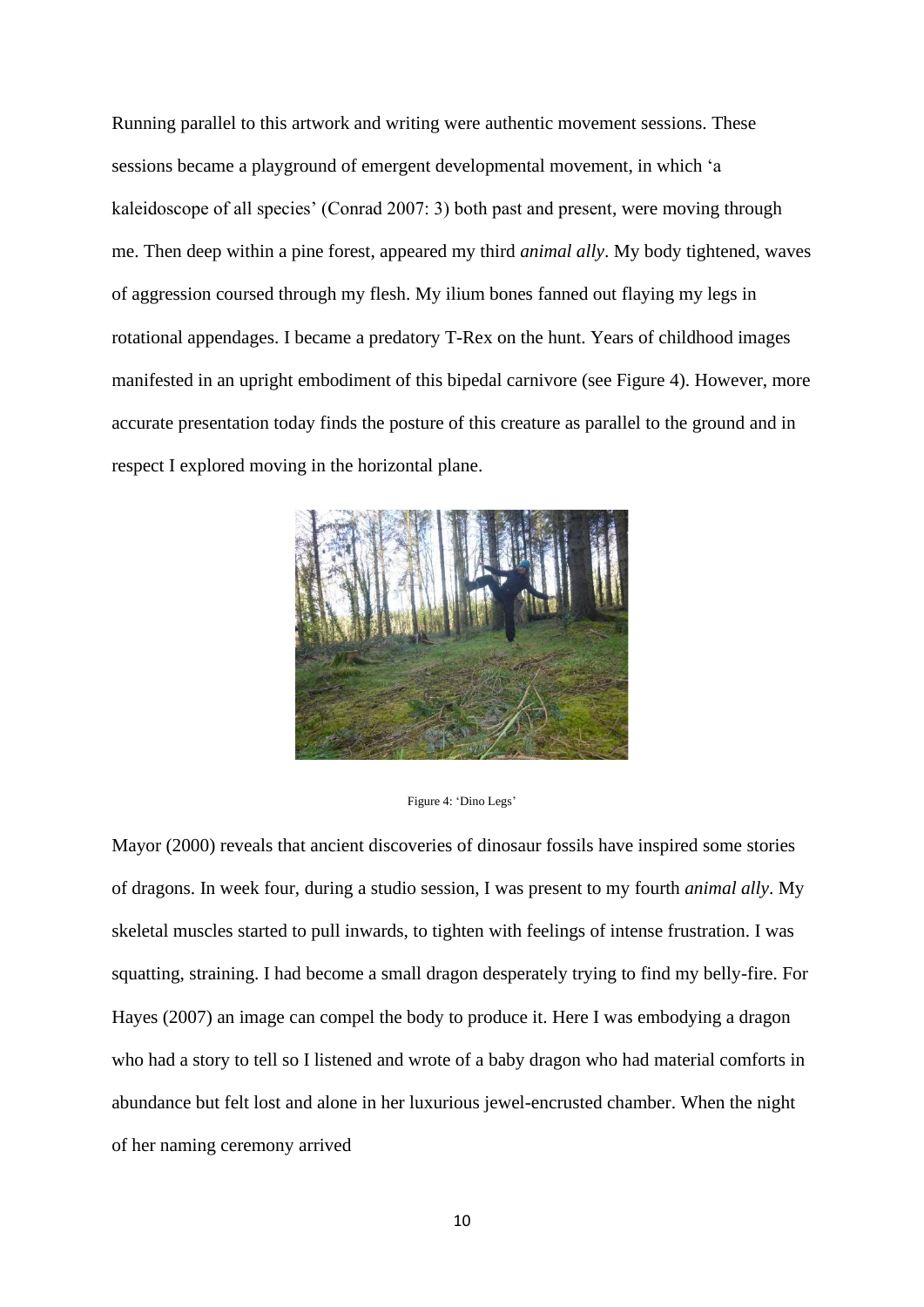Running parallel to this artwork and writing were authentic movement sessions. These sessions became a playground of emergent developmental movement, in which 'a kaleidoscope of all species' (Conrad 2007: 3) both past and present, were moving through me. Then deep within a pine forest, appeared my third *animal ally*. My body tightened, waves of aggression coursed through my flesh. My ilium bones fanned out flaying my legs in rotational appendages. I became a predatory T-Rex on the hunt. Years of childhood images manifested in an upright embodiment of this bipedal carnivore (see Figure 4). However, more accurate presentation today finds the posture of this creature as parallel to the ground and in respect I explored moving in the horizontal plane.



Figure 4: 'Dino Legs'

Mayor (2000) reveals that ancient discoveries of dinosaur fossils have inspired some stories of dragons. In week four, during a studio session, I was present to my fourth *animal ally*. My skeletal muscles started to pull inwards, to tighten with feelings of intense frustration. I was squatting, straining. I had become a small dragon desperately trying to find my belly-fire. For Hayes (2007) an image can compel the body to produce it. Here I was embodying a dragon who had a story to tell so I listened and wrote of a baby dragon who had material comforts in abundance but felt lost and alone in her luxurious jewel-encrusted chamber. When the night of her naming ceremony arrived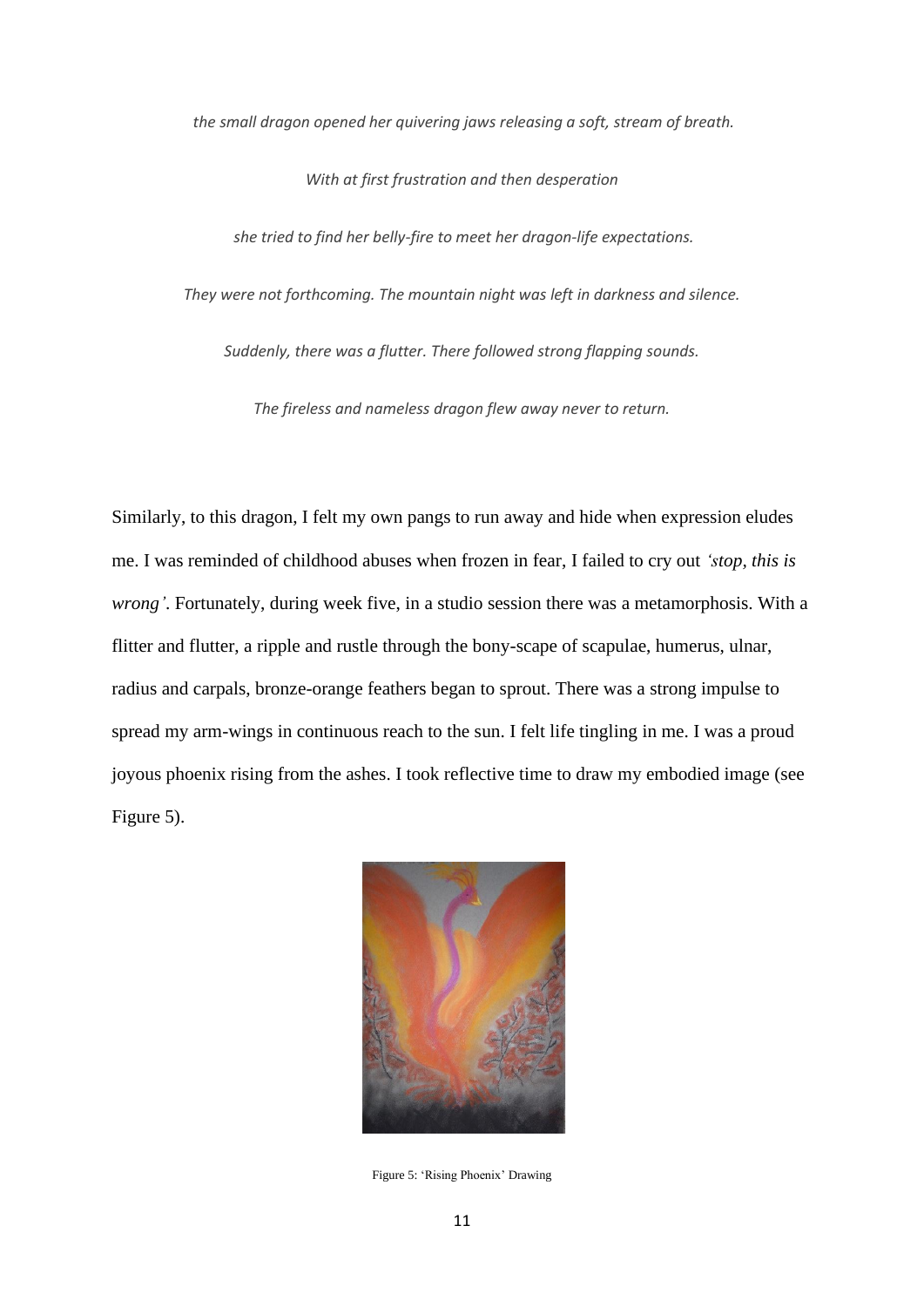*the small dragon opened her quivering jaws releasing a soft, stream of breath.*

*With at first frustration and then desperation*

*she tried to find her belly-fire to meet her dragon-life expectations.* 

*They were not forthcoming. The mountain night was left in darkness and silence.* 

*Suddenly, there was a flutter. There followed strong flapping sounds.* 

*The fireless and nameless dragon flew away never to return.*

Similarly, to this dragon, I felt my own pangs to run away and hide when expression eludes me. I was reminded of childhood abuses when frozen in fear, I failed to cry out *'stop, this is wrong'*. Fortunately, during week five, in a studio session there was a metamorphosis. With a flitter and flutter, a ripple and rustle through the bony-scape of scapulae, humerus, ulnar, radius and carpals, bronze-orange feathers began to sprout. There was a strong impulse to spread my arm-wings in continuous reach to the sun. I felt life tingling in me. I was a proud joyous phoenix rising from the ashes. I took reflective time to draw my embodied image (see Figure 5).



Figure 5: 'Rising Phoenix' Drawing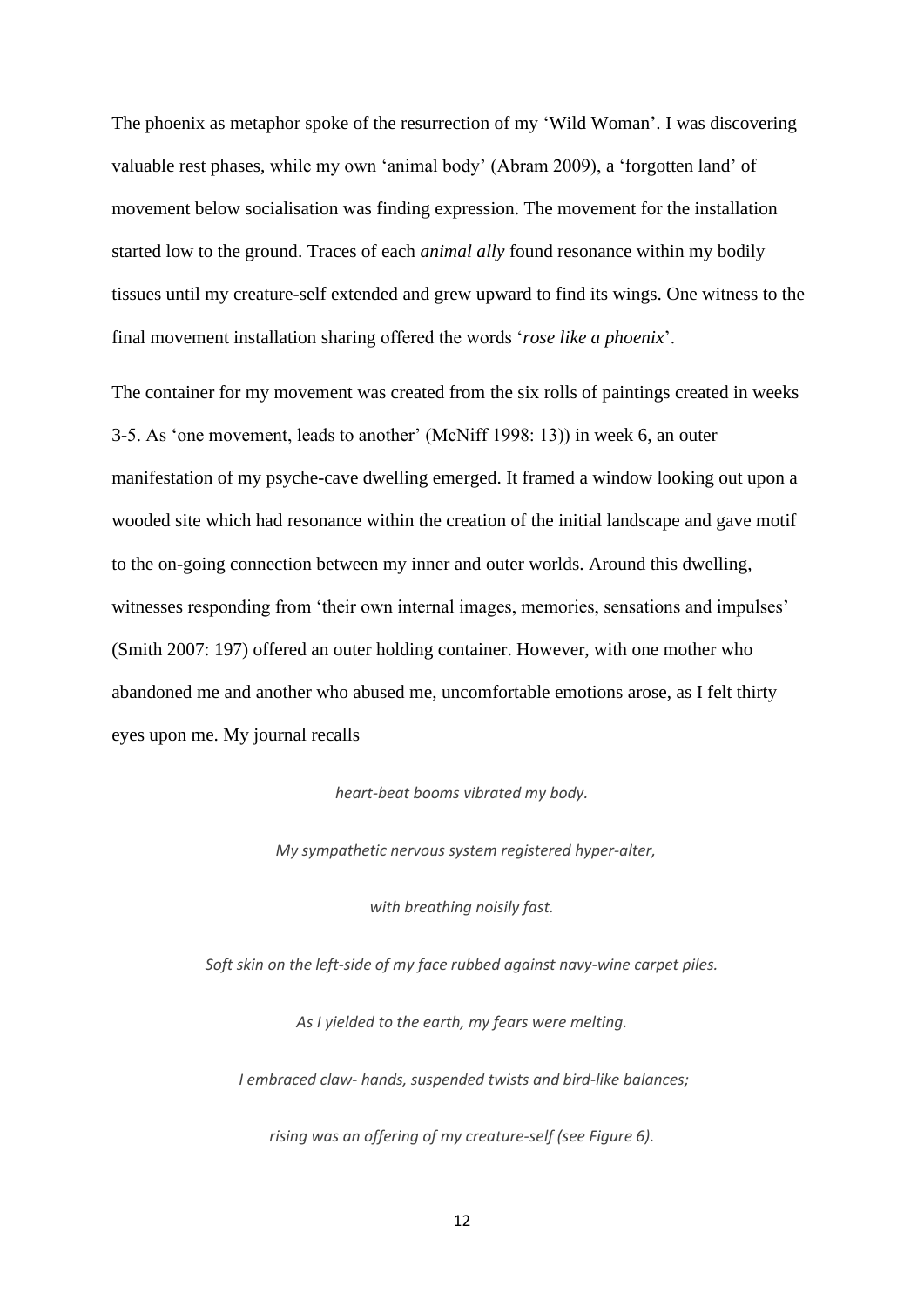The phoenix as metaphor spoke of the resurrection of my 'Wild Woman'. I was discovering valuable rest phases, while my own 'animal body' (Abram 2009), a 'forgotten land' of movement below socialisation was finding expression. The movement for the installation started low to the ground. Traces of each *animal ally* found resonance within my bodily tissues until my creature-self extended and grew upward to find its wings. One witness to the final movement installation sharing offered the words '*rose like a phoenix*'.

The container for my movement was created from the six rolls of paintings created in weeks 3-5. As 'one movement, leads to another' (McNiff 1998: 13)) in week 6, an outer manifestation of my psyche-cave dwelling emerged. It framed a window looking out upon a wooded site which had resonance within the creation of the initial landscape and gave motif to the on-going connection between my inner and outer worlds. Around this dwelling, witnesses responding from 'their own internal images, memories, sensations and impulses' (Smith 2007: 197) offered an outer holding container. However, with one mother who abandoned me and another who abused me, uncomfortable emotions arose, as I felt thirty eyes upon me. My journal recalls

#### *heart-beat booms vibrated my body.*

 *My sympathetic nervous system registered hyper-alter,*

*with breathing noisily fast.*

*Soft skin on the left-side of my face rubbed against navy-wine carpet piles.* 

*As I yielded to the earth, my fears were melting.*

*I embraced claw- hands, suspended twists and bird-like balances;*

*rising was an offering of my creature-self (see Figure 6).*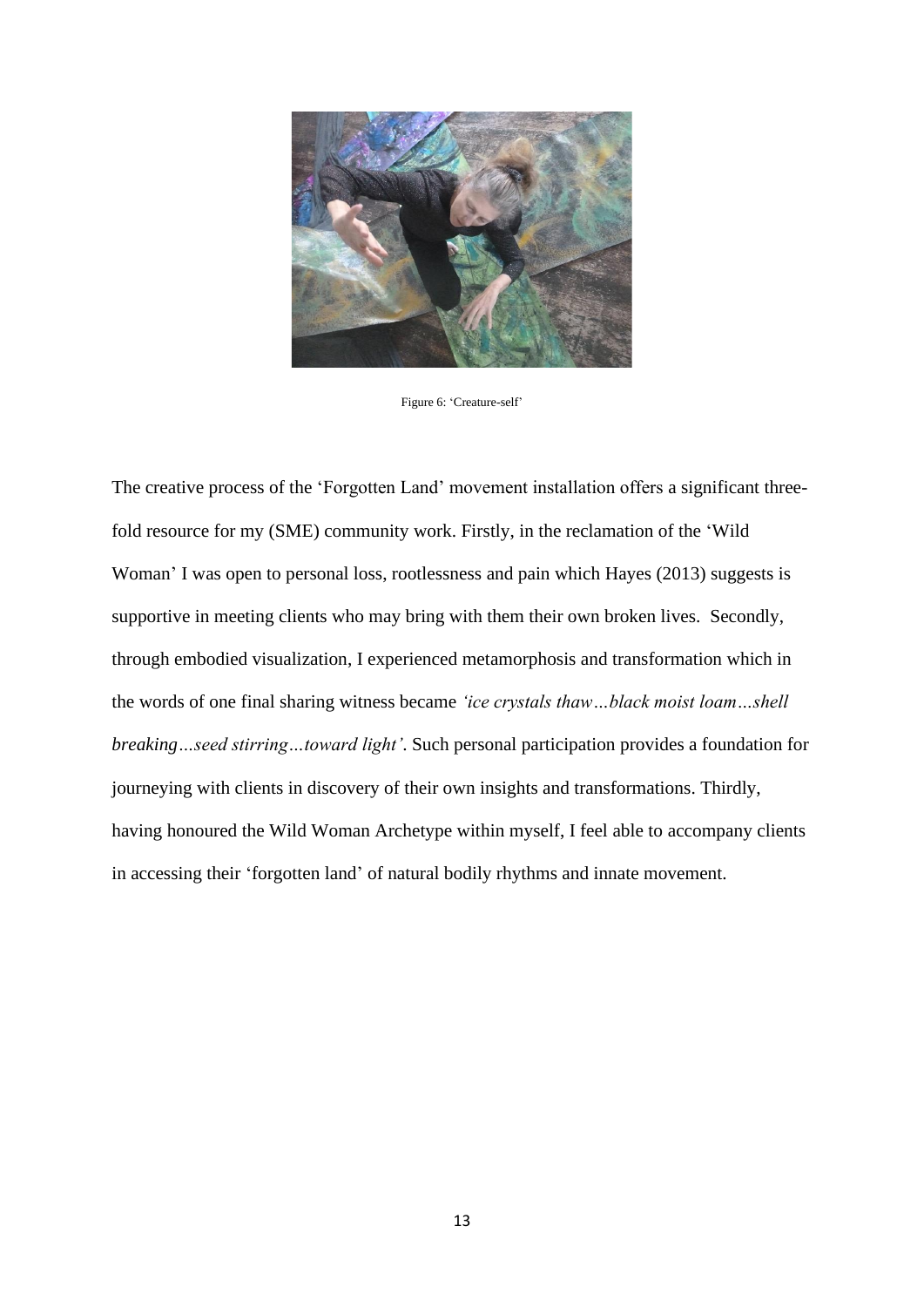

Figure 6: 'Creature-self'

The creative process of the 'Forgotten Land' movement installation offers a significant threefold resource for my (SME) community work. Firstly, in the reclamation of the 'Wild Woman' I was open to personal loss, rootlessness and pain which Hayes (2013) suggests is supportive in meeting clients who may bring with them their own broken lives. Secondly, through embodied visualization, I experienced metamorphosis and transformation which in the words of one final sharing witness became *'ice crystals thaw…black moist loam…shell breaking…seed stirring…toward light'*. Such personal participation provides a foundation for journeying with clients in discovery of their own insights and transformations. Thirdly, having honoured the Wild Woman Archetype within myself, I feel able to accompany clients in accessing their 'forgotten land' of natural bodily rhythms and innate movement.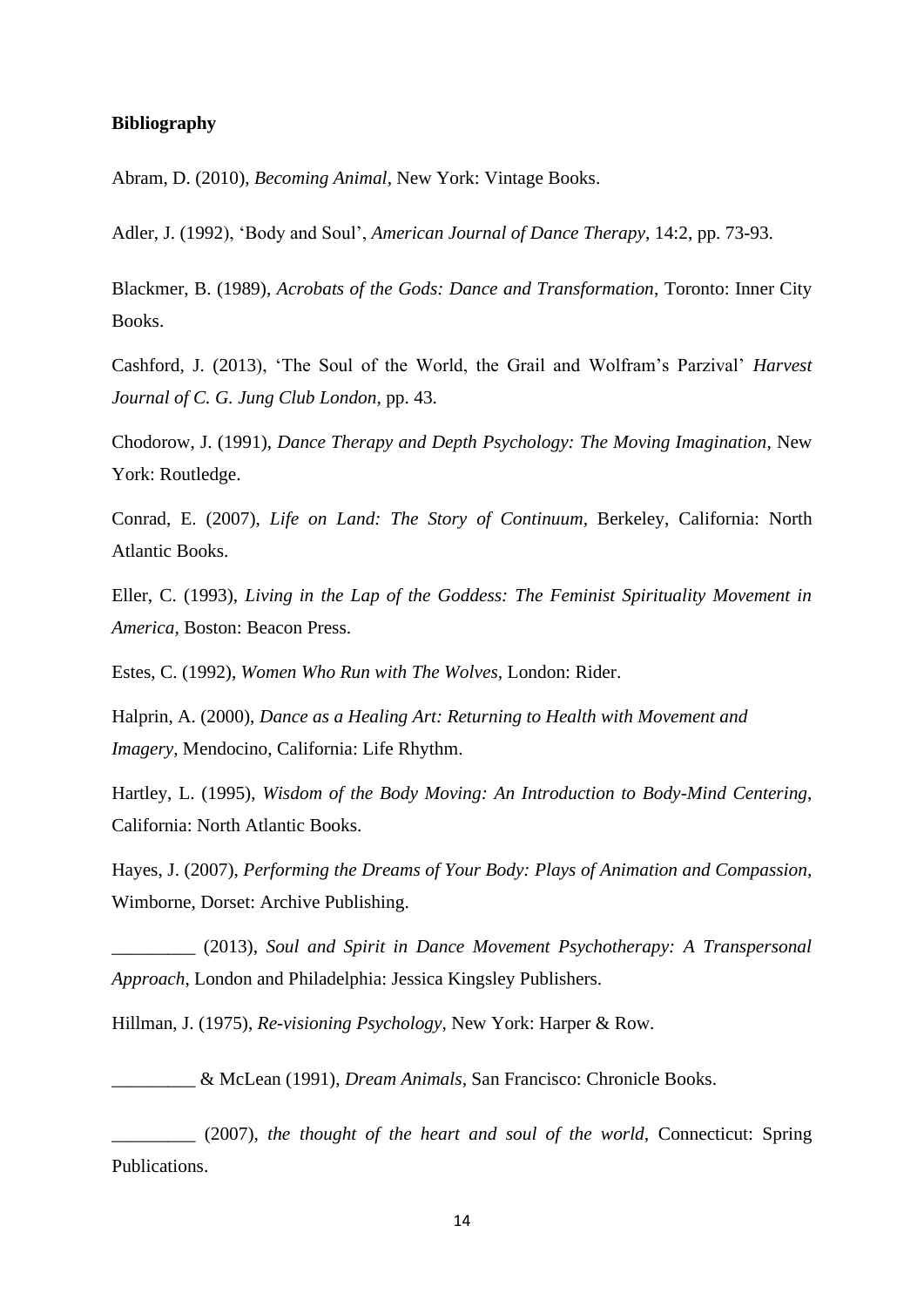### **Bibliography**

Abram, D. (2010), *Becoming Animal,* New York: Vintage Books.

Adler, J. (1992), 'Body and Soul', *American Journal of Dance Therapy*, 14:2, pp. 73-93.

Blackmer, B. (1989), *Acrobats of the Gods: Dance and Transformation*, Toronto: Inner City Books.

Cashford, J. (2013), 'The Soul of the World, the Grail and Wolfram's Parzival' *Harvest Journal of C. G. Jung Club London,* pp. 43.

Chodorow, J. (1991), *Dance Therapy and Depth Psychology: The Moving Imagination,* New York: Routledge.

Conrad, E. (2007), *Life on Land: The Story of Continuum,* Berkeley, California: North Atlantic Books.

Eller, C. (1993), *Living in the Lap of the Goddess: The Feminist Spirituality Movement in America,* Boston: Beacon Press.

Estes, C. (1992), *Women Who Run with The Wolves,* London: Rider.

Halprin, A. (2000), *Dance as a Healing Art: Returning to Health with Movement and Imagery,* Mendocino, California: Life Rhythm.

Hartley, L. (1995), *Wisdom of the Body Moving: An Introduction to Body-Mind Centering*, California: North Atlantic Books.

Hayes, J. (2007), *Performing the Dreams of Your Body: Plays of Animation and Compassion,*  Wimborne, Dorset: Archive Publishing.

\_\_\_\_\_\_\_\_\_ (2013), *Soul and Spirit in Dance Movement Psychotherapy: A Transpersonal Approach*, London and Philadelphia: Jessica Kingsley Publishers.

Hillman, J. (1975), *Re-visioning Psychology*, New York: Harper & Row.

\_\_\_\_\_\_\_\_\_ & McLean (1991), *Dream Animals,* San Francisco: Chronicle Books.

\_\_\_\_\_\_\_\_\_ (2007), *the thought of the heart and soul of the world,* Connecticut: Spring Publications.